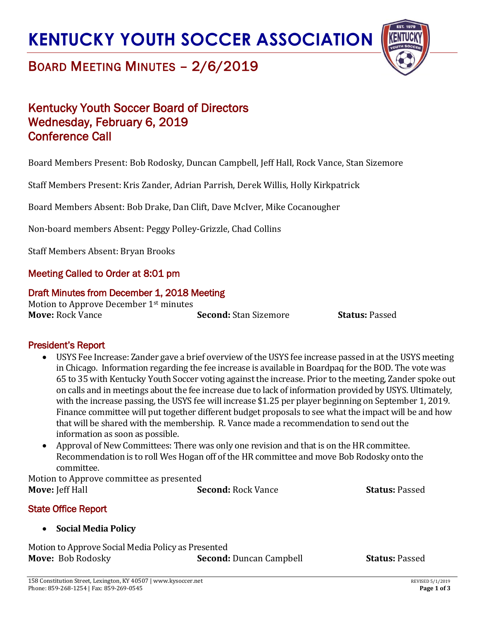

### BOARD MEETING MINUTES – 2/6/2019

### Kentucky Youth Soccer Board of Directors Wednesday, February 6, 2019 Conference Call

Board Members Present: Bob Rodosky, Duncan Campbell, Jeff Hall, Rock Vance, Stan Sizemore

Staff Members Present: Kris Zander, Adrian Parrish, Derek Willis, Holly Kirkpatrick

Board Members Absent: Bob Drake, Dan Clift, Dave McIver, Mike Cocanougher

Non-board members Absent: Peggy Polley-Grizzle, Chad Collins

Staff Members Absent: Bryan Brooks

### Meeting Called to Order at 8:01 pm

### Draft Minutes from December 1, 2018 Meeting

Motion to Approve December 1st minutes **Move:** Rock Vance **Second:** Stan Sizemore **Status:** Passed

### President's Report

- USYS Fee Increase: Zander gave a brief overview of the USYS fee increase passed in at the USYS meeting in Chicago. Information regarding the fee increase is available in Boardpaq for the BOD. The vote was 65 to 35 with Kentucky Youth Soccer voting against the increase. Prior to the meeting, Zander spoke out on calls and in meetings about the fee increase due to lack of information provided by USYS. Ultimately, with the increase passing, the USYS fee will increase \$1.25 per player beginning on September 1, 2019. Finance committee will put together different budget proposals to see what the impact will be and how that will be shared with the membership. R. Vance made a recommendation to send out the information as soon as possible.
- Approval of New Committees: There was only one revision and that is on the HR committee. Recommendation is to roll Wes Hogan off of the HR committee and move Bob Rodosky onto the committee.

Motion to Approve committee as presented **Move:** Jeff Hall **Second:** Rock Vance **Status:** Passed

State Office Report

### • **Social Media Policy**

Motion to Approve Social Media Policy as Presented **Move:** Bob Rodosky **Second:** Duncan Campbell **Status:** Passed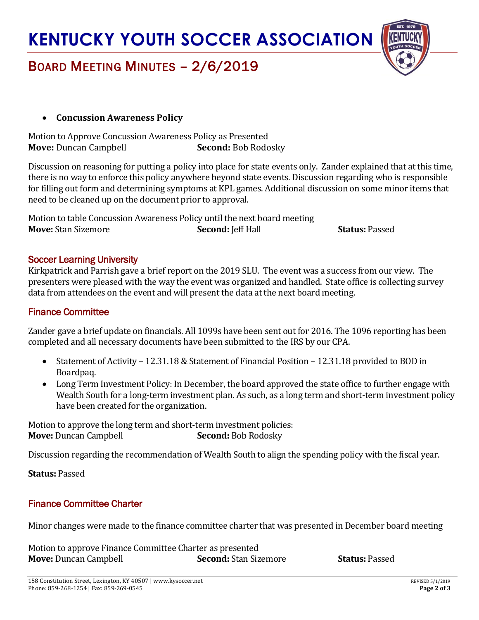

### BOARD MEETING MINUTES – 2/6/2019

### • **Concussion Awareness Policy**

Motion to Approve Concussion Awareness Policy as Presented **Move:** Duncan Campbell **Second:** Bob Rodosky

Discussion on reasoning for putting a policy into place for state events only. Zander explained that at this time, there is no way to enforce this policy anywhere beyond state events. Discussion regarding who is responsible for filling out form and determining symptoms at KPL games. Additional discussion on some minor items that need to be cleaned up on the document prior to approval.

Motion to table Concussion Awareness Policy until the next board meeting **Move:** Stan Sizemore **Second:** Jeff Hall **Status:** Passed

### Soccer Learning University

Kirkpatrick and Parrish gave a brief report on the 2019 SLU. The event was a success from our view. The presenters were pleased with the way the event was organized and handled. State office is collecting survey data from attendees on the event and will present the data at the next board meeting.

### Finance Committee

Zander gave a brief update on financials. All 1099s have been sent out for 2016. The 1096 reporting has been completed and all necessary documents have been submitted to the IRS by our CPA.

- Statement of Activity 12.31.18 & Statement of Financial Position 12.31.18 provided to BOD in Boardpaq.
- Long Term Investment Policy: In December, the board approved the state office to further engage with Wealth South for a long-term investment plan. As such, as a long term and short-term investment policy have been created for the organization.

Motion to approve the long term and short-term investment policies: **Move:** Duncan Campbell **Second:** Bob Rodosky

Discussion regarding the recommendation of Wealth South to align the spending policy with the fiscal year.

**Status:** Passed

### Finance Committee Charter

Minor changes were made to the finance committee charter that was presented in December board meeting

Motion to approve Finance Committee Charter as presented **Move:** Duncan Campbell **Second:**Stan Sizemore **Status:** Passed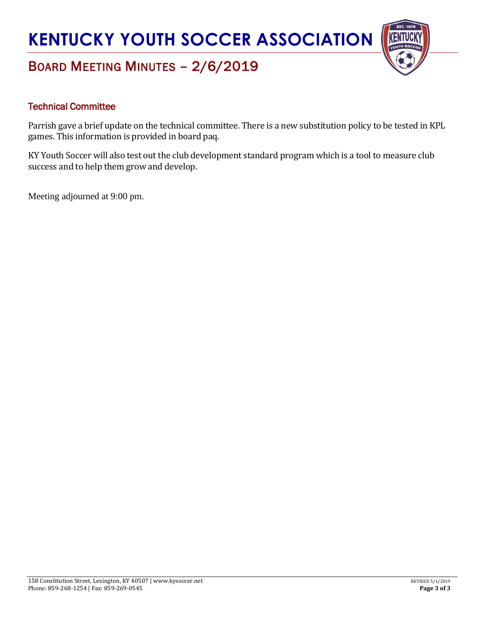

### BOARD MEETING MINUTES – 2/6/2019

### Technical Committee

Parrish gave a brief update on the technical committee. There is a new substitution policy to be tested in KPL games. This information is provided in board paq.

KY Youth Soccer will also test out the club development standard program which is a tool to measure club success and to help them grow and develop.

Meeting adjourned at 9:00 pm.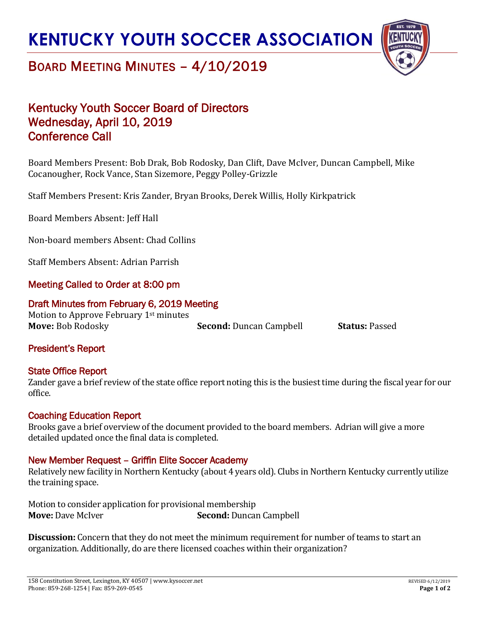

### BOARD MEETING MINUTES – 4/10/2019

### Kentucky Youth Soccer Board of Directors Wednesday, April 10, 2019 Conference Call

Board Members Present: Bob Drak, Bob Rodosky, Dan Clift, Dave McIver, Duncan Campbell, Mike Cocanougher, Rock Vance, Stan Sizemore, Peggy Polley-Grizzle

Staff Members Present: Kris Zander, Bryan Brooks, Derek Willis, Holly Kirkpatrick

Board Members Absent: Jeff Hall

Non-board members Absent: Chad Collins

Staff Members Absent: Adrian Parrish

### Meeting Called to Order at 8:00 pm

### Draft Minutes from February 6, 2019 Meeting

Motion to Approve February 1<sup>st</sup> minutes **Move:** Bob Rodosky **Second:** Duncan Campbell **Status:** Passed

### President's Report

### State Office Report

Zander gave a brief review of the state office report noting this is the busiest time during the fiscal year for our office.

### Coaching Education Report

Brooks gave a brief overview of the document provided to the board members. Adrian will give a more detailed updated once the final data is completed.

### New Member Request – Griffin Elite Soccer Academy

Relatively new facility in Northern Kentucky (about 4 years old). Clubs in Northern Kentucky currently utilize the training space.

Motion to consider application for provisional membership **Move:** Dave McIver **Second:** Duncan Campbell

**Discussion:** Concern that they do not meet the minimum requirement for number of teams to start an organization. Additionally, do are there licensed coaches within their organization?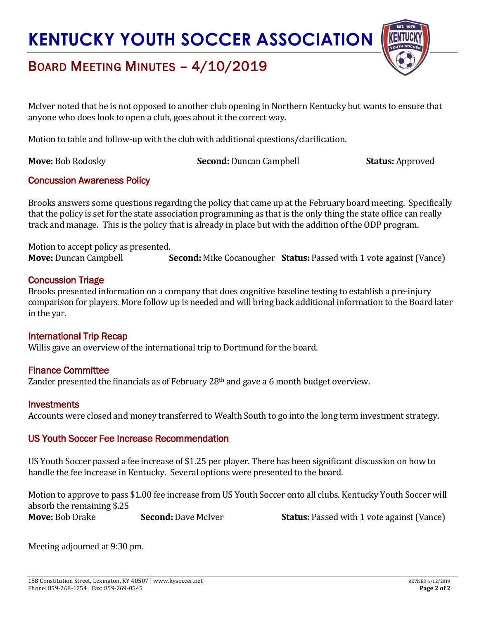

## BOARD MEETING MINUTES – 4/10/2019

McIver noted that he is not opposed to another club opening in Northern Kentucky but wants to ensure that anyone who does look to open a club, goes about it the correct way.

Motion to table and follow-up with the club with additional questions/clarification.

**Move:** Bob Rodosky **Second:** Duncan Campbell **Status:** Approved

### Concussion Awareness Policy

Brooks answers some questions regarding the policy that came up at the February board meeting. Specifically that the policy is set for the state association programming as that is the only thing the state office can really track and manage. This is the policy that is already in place but with the addition of the ODP program.

Motion to accept policy as presented. **Move:** Duncan Campbell **Second:** Mike Cocanougher **Status:** Passed with 1 vote against (Vance)

### Concussion Triage

Brooks presented information on a company that does cognitive baseline testing to establish a pre-injury comparison for players. More follow up is needed and will bring back additional information to the Board later in the yar.

### International Trip Recap

Willis gave an overview of the international trip to Dortmund for the board.

### Finance Committee

Zander presented the financials as of February 28<sup>th</sup> and gave a 6 month budget overview.

### **Investments**

Accounts were closed and money transferred to Wealth South to go into the long term investment strategy.

### US Youth Soccer Fee Increase Recommendation

US Youth Soccer passed a fee increase of \$1.25 per player. There has been significant discussion on how to handle the fee increase in Kentucky. Several options were presented to the board.

Motion to approve to pass \$1.00 fee increase from US Youth Soccer onto all clubs. Kentucky Youth Soccer will absorb the remaining \$.25 **Move:** Bob Drake **Second:** Dave McIver **Status:** Passed with 1 vote against (Vance)

Meeting adjourned at 9:30 pm.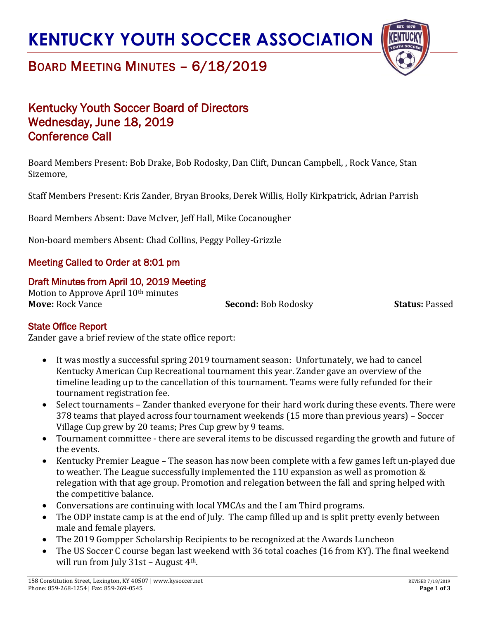

### BOARD MEETING MINUTES – 6/18/2019

### Kentucky Youth Soccer Board of Directors Wednesday, June 18, 2019 Conference Call

Board Members Present: Bob Drake, Bob Rodosky, Dan Clift, Duncan Campbell, , Rock Vance, Stan Sizemore,

Staff Members Present: Kris Zander, Bryan Brooks, Derek Willis, Holly Kirkpatrick, Adrian Parrish

Board Members Absent: Dave McIver, Jeff Hall, Mike Cocanougher

Non-board members Absent: Chad Collins, Peggy Polley-Grizzle

### Meeting Called to Order at 8:01 pm

### Draft Minutes from April 10, 2019 Meeting

Motion to Approve April 10<sup>th</sup> minutes **Move:** Rock Vance **Second:** Bob Rodosky **Status:** Passed

### State Office Report

Zander gave a brief review of the state office report:

- It was mostly a successful spring 2019 tournament season: Unfortunately, we had to cancel Kentucky American Cup Recreational tournament this year. Zander gave an overview of the timeline leading up to the cancellation of this tournament. Teams were fully refunded for their tournament registration fee.
- Select tournaments Zander thanked everyone for their hard work during these events. There were 378 teams that played across four tournament weekends (15 more than previous years) – Soccer Village Cup grew by 20 teams; Pres Cup grew by 9 teams.
- Tournament committee there are several items to be discussed regarding the growth and future of the events.
- Kentucky Premier League The season has now been complete with a few games left un-played due to weather. The League successfully implemented the 11U expansion as well as promotion & relegation with that age group. Promotion and relegation between the fall and spring helped with the competitive balance.
- Conversations are continuing with local YMCAs and the I am Third programs.
- The ODP instate camp is at the end of July. The camp filled up and is split pretty evenly between male and female players.
- The 2019 Gompper Scholarship Recipients to be recognized at the Awards Luncheon
- The US Soccer C course began last weekend with 36 total coaches (16 from KY). The final weekend will run from July  $31st$  – August  $4<sup>th</sup>$ .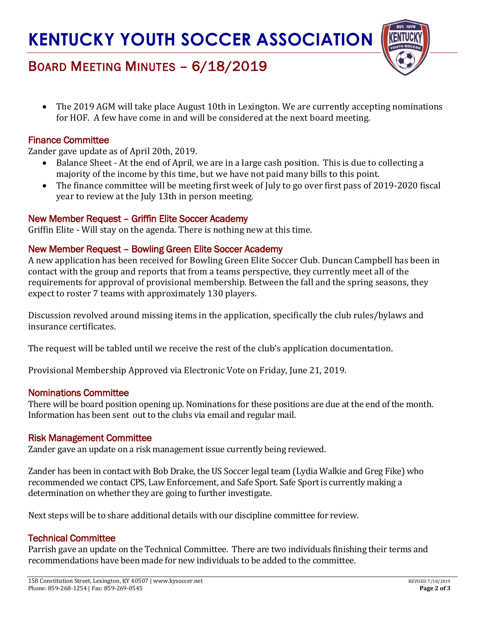

## BOARD MEETING MINUTES – 6/18/2019

• The 2019 AGM will take place August 10th in Lexington. We are currently accepting nominations for HOF. A few have come in and will be considered at the next board meeting.

### Finance Committee

Zander gave update as of April 20th, 2019.

- Balance Sheet At the end of April, we are in a large cash position. This is due to collecting a majority of the income by this time, but we have not paid many bills to this point.
- The finance committee will be meeting first week of July to go over first pass of 2019-2020 fiscal year to review at the July 13th in person meeting.

### New Member Request – Griffin Elite Soccer Academy

Griffin Elite - Will stay on the agenda. There is nothing new at this time.

### New Member Request – Bowling Green Elite Soccer Academy

A new application has been received for Bowling Green Elite Soccer Club. Duncan Campbell has been in contact with the group and reports that from a teams perspective, they currently meet all of the requirements for approval of provisional membership. Between the fall and the spring seasons, they expect to roster 7 teams with approximately 130 players.

Discussion revolved around missing items in the application, specifically the club rules/bylaws and insurance certificates.

The request will be tabled until we receive the rest of the club's application documentation.

Provisional Membership Approved via Electronic Vote on Friday, June 21, 2019.

### Nominations Committee

There will be board position opening up. Nominations for these positions are due at the end of the month. Information has been sent out to the clubs via email and regular mail.

### Risk Management Committee

Zander gave an update on a risk management issue currently being reviewed.

Zander has been in contact with Bob Drake, the US Soccer legal team (Lydia Walkie and Greg Fike) who recommended we contact CPS, Law Enforcement, and Safe Sport. Safe Sport is currently making a determination on whether they are going to further investigate.

Next steps will be to share additional details with our discipline committee for review.

### Technical Committee

Parrish gave an update on the Technical Committee. There are two individuals finishing their terms and recommendations have been made for new individuals to be added to the committee.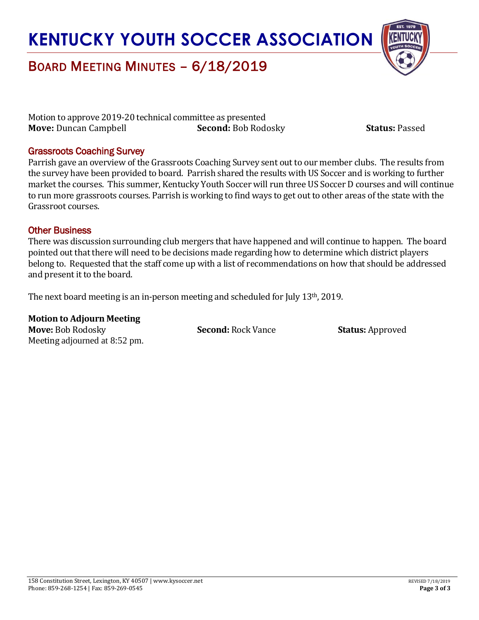

### BOARD MEETING MINUTES – 6/18/2019

Motion to approve 2019-20 technical committee as presented **Move:** Duncan Campbell **Second:** Bob Rodosky **Status:** Passed

### Grassroots Coaching Survey

Parrish gave an overview of the Grassroots Coaching Survey sent out to our member clubs. The results from the survey have been provided to board. Parrish shared the results with US Soccer and is working to further market the courses. This summer, Kentucky Youth Soccer will run three US Soccer D courses and will continue to run more grassroots courses. Parrish is working to find ways to get out to other areas of the state with the Grassroot courses.

### Other Business

There was discussion surrounding club mergers that have happened and will continue to happen. The board pointed out that there will need to be decisions made regarding how to determine which district players belong to. Requested that the staff come up with a list of recommendations on how that should be addressed and present it to the board.

The next board meeting is an in-person meeting and scheduled for July 13<sup>th</sup>, 2019.

**Motion to Adjourn Meeting Move:** Bob Rodosky **Second:** Rock Vance **Status:** Approved Meeting adjourned at 8:52 pm.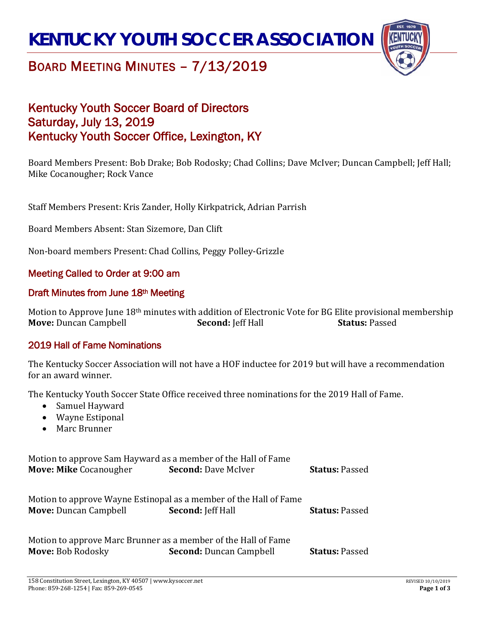

### BOARD MEETING MINUTES – 7/13/2019

### Kentucky Youth Soccer Board of Directors Saturday, July 13, 2019 Kentucky Youth Soccer Office, Lexington, KY

Board Members Present: Bob Drake; Bob Rodosky; Chad Collins; Dave McIver; Duncan Campbell; Jeff Hall; Mike Cocanougher; Rock Vance

Staff Members Present: Kris Zander, Holly Kirkpatrick, Adrian Parrish

Board Members Absent: Stan Sizemore, Dan Clift

Non-board members Present: Chad Collins, Peggy Polley-Grizzle

### Meeting Called to Order at 9:00 am

### Draft Minutes from June 18th Meeting

Motion to Approve June 18<sup>th</sup> minutes with addition of Electronic Vote for BG Elite provisional membership<br>**Move:** Duncan Campbell **Second:** Jeff Hall **Status:** Passed **Move: Duncan Campbell** 

### 2019 Hall of Fame Nominations

The Kentucky Soccer Association will not have a HOF inductee for 2019 but will have a recommendation for an award winner.

The Kentucky Youth Soccer State Office received three nominations for the 2019 Hall of Fame.

- Samuel Hayward
- Wayne Estiponal
- Marc Brunner

Motion to approve Sam Hayward as a member of the Hall of Fame<br>Move: Mike Cocanougher<br>Second: Dave McIver **Move: Mike** Cocanougher **Second:** Dave McIver **Status:** Passed Motion to approve Wayne Estinopal as a member of the Hall of Fame<br>**Move:** Duncan Campbell **Second:** [eff Hall **Move:** Duncan Campbell **Second:** Jeff Hall **Status:** Passed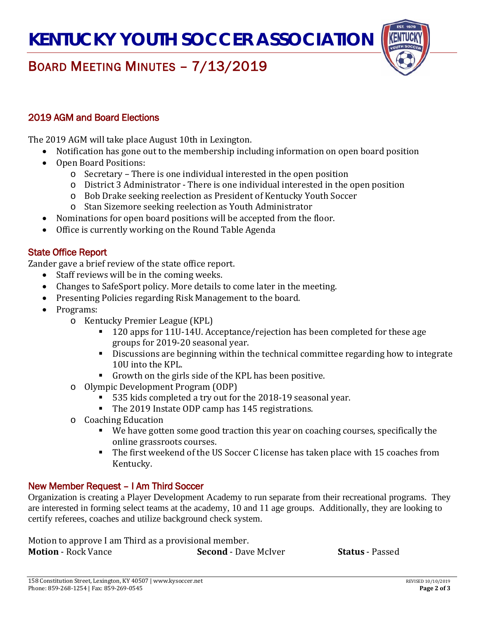

## BOARD MEETING MINUTES – 7/13/2019

### 2019 AGM and Board Elections

The 2019 AGM will take place August 10th in Lexington.

- Notification has gone out to the membership including information on open board position
- Open Board Positions:
	- o Secretary There is one individual interested in the open position
	- o District 3 Administrator There is one individual interested in the open position
	- o Bob Drake seeking reelection as President of Kentucky Youth Soccer
	- o Stan Sizemore seeking reelection as Youth Administrator
- Nominations for open board positions will be accepted from the floor.
- Office is currently working on the Round Table Agenda

### State Office Report

Zander gave a brief review of the state office report.

- Staff reviews will be in the coming weeks.
- Changes to SafeSport policy. More details to come later in the meeting.
- Presenting Policies regarding Risk Management to the board.
- Programs:
	- o Kentucky Premier League (KPL)
		- 120 apps for 11U-14U. Acceptance/rejection has been completed for these age groups for 2019-20 seasonal year.
		- Discussions are beginning within the technical committee regarding how to integrate 10U into the KPL.
		- Growth on the girls side of the KPL has been positive.
	- o Olympic Development Program (ODP)
		- 535 kids completed a try out for the 2018-19 seasonal year.
		- The 2019 Instate ODP camp has 145 registrations.
	- o Coaching Education
		- We have gotten some good traction this year on coaching courses, specifically the online grassroots courses.
		- The first weekend of the US Soccer C license has taken place with 15 coaches from Kentucky.

### New Member Request – I Am Third Soccer

Organization is creating a Player Development Academy to run separate from their recreational programs. They are interested in forming select teams at the academy, 10 and 11 age groups. Additionally, they are looking to certify referees, coaches and utilize background check system.

Motion to approve I am Third as a provisional member.<br>**Motion** - Rock Vance **Second** - Dav **Second** - Dave McIver **Status** - Passed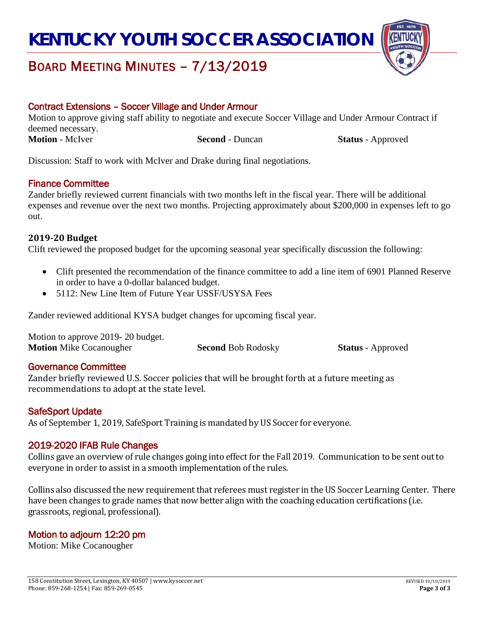

### BOARD MEETING MINUTES – 7/13/2019

### Contract Extensions – Soccer Village and Under Armour

Motion to approve giving staff ability to negotiate and execute Soccer Village and Under Armour Contract if deemed necessary. **Motion - McIver Second - Duncan Status** - Approved

Discussion: Staff to work with McIver and Drake during final negotiations.

### Finance Committee

Zander briefly reviewed current financials with two months left in the fiscal year. There will be additional expenses and revenue over the next two months. Projecting approximately about \$200,000 in expenses left to go out.

### **2019-20 Budget**

Clift reviewed the proposed budget for the upcoming seasonal year specifically discussion the following:

- Clift presented the recommendation of the finance committee to add a line item of 6901 Planned Reserve in order to have a 0-dollar balanced budget.
- 5112: New Line Item of Future Year USSF/USYSA Fees

Zander reviewed additional KYSA budget changes for upcoming fiscal year.

| Motion to approve 2019-20 budget. |                           |                          |
|-----------------------------------|---------------------------|--------------------------|
| <b>Motion</b> Mike Cocanougher    | <b>Second Bob Rodosky</b> | <b>Status</b> - Approved |

### Governance Committee

Zander briefly reviewed U.S. Soccer policies that will be brought forth at a future meeting as recommendations to adopt at the state level.

### SafeSport Update

As of September 1, 2019, SafeSport Training is mandated by US Soccer for everyone.

### 2019-2020 IFAB Rule Changes

Collins gave an overview of rule changes going into effect for the Fall 2019. Communication to be sent out to everyone in order to assist in a smooth implementation of the rules.

Collins also discussed the new requirement that referees must register in the US Soccer Learning Center. There have been changes to grade names that now better align with the coaching education certifications (i.e. grassroots, regional, professional).

### Motion to adjourn 12:20 pm

Motion: Mike Cocanougher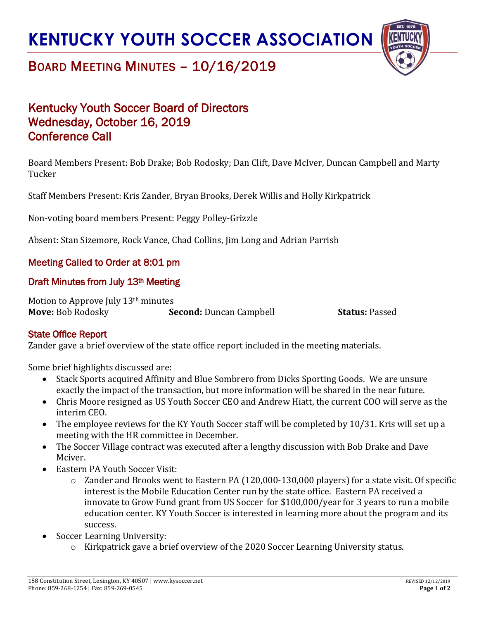

## BOARD MEETING MINUTES – 10/16/2019

### Kentucky Youth Soccer Board of Directors Wednesday, October 16, 2019 Conference Call

Board Members Present: Bob Drake; Bob Rodosky; Dan Clift, Dave McIver, Duncan Campbell and Marty Tucker

Staff Members Present: Kris Zander, Bryan Brooks, Derek Willis and Holly Kirkpatrick

Non-voting board members Present: Peggy Polley-Grizzle

Absent: Stan Sizemore, Rock Vance, Chad Collins, Jim Long and Adrian Parrish

### Meeting Called to Order at 8:01 pm

### Draft Minutes from July 13<sup>th</sup> Meeting

Motion to Approve July 13th minutes **Move:** Bob Rodosky **Second:** Duncan Campbell **Status:** Passed

### State Office Report

Zander gave a brief overview of the state office report included in the meeting materials.

Some brief highlights discussed are:

- Stack Sports acquired Affinity and Blue Sombrero from Dicks Sporting Goods. We are unsure exactly the impact of the transaction, but more information will be shared in the near future.
- Chris Moore resigned as US Youth Soccer CEO and Andrew Hiatt, the current COO will serve as the interim CEO.
- The employee reviews for the KY Youth Soccer staff will be completed by 10/31. Kris will set up a meeting with the HR committee in December.
- The Soccer Village contract was executed after a lengthy discussion with Bob Drake and Dave Mciver.
- Eastern PA Youth Soccer Visit:
	- o Zander and Brooks went to Eastern PA (120,000-130,000 players) for a state visit. Of specific interest is the Mobile Education Center run by the state office. Eastern PA received a innovate to Grow Fund grant from US Soccer for \$100,000/year for 3 years to run a mobile education center. KY Youth Soccer is interested in learning more about the program and its success.
- Soccer Learning University:
	- o Kirkpatrick gave a brief overview of the 2020 Soccer Learning University status.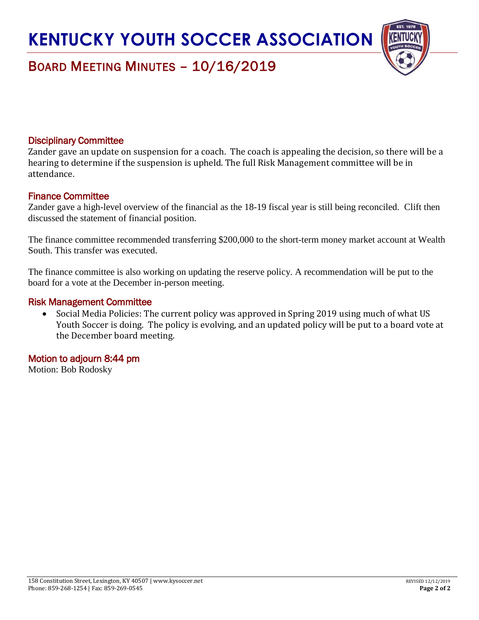

## BOARD MEETING MINUTES – 10/16/2019

### Disciplinary Committee

Zander gave an update on suspension for a coach. The coach is appealing the decision, so there will be a hearing to determine if the suspension is upheld. The full Risk Management committee will be in attendance.

### Finance Committee

Zander gave a high-level overview of the financial as the 18-19 fiscal year is still being reconciled. Clift then discussed the statement of financial position.

The finance committee recommended transferring \$200,000 to the short-term money market account at Wealth South. This transfer was executed.

The finance committee is also working on updating the reserve policy. A recommendation will be put to the board for a vote at the December in-person meeting.

#### Risk Management Committee

• Social Media Policies: The current policy was approved in Spring 2019 using much of what US Youth Soccer is doing. The policy is evolving, and an updated policy will be put to a board vote at the December board meeting.

### Motion to adjourn 8:44 pm

Motion: Bob Rodosky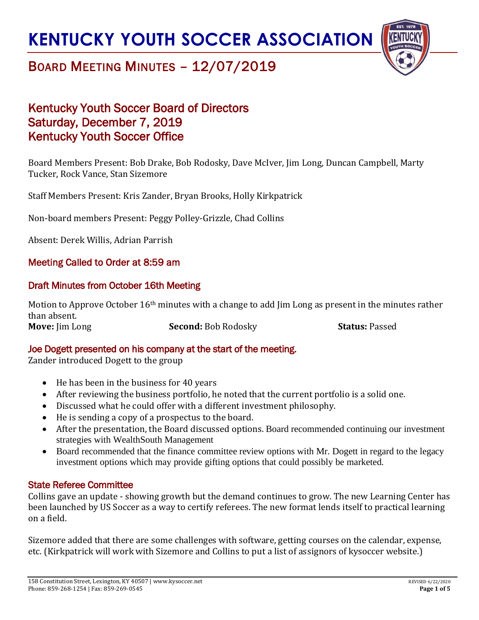

## BOARD MEETING MINUTES – 12/07/2019

### Kentucky Youth Soccer Board of Directors Saturday, December 7, 2019 Kentucky Youth Soccer Office

Board Members Present: Bob Drake, Bob Rodosky, Dave McIver, Jim Long, Duncan Campbell, Marty Tucker, Rock Vance, Stan Sizemore

Staff Members Present: Kris Zander, Bryan Brooks, Holly Kirkpatrick

Non-board members Present: Peggy Polley-Grizzle, Chad Collins

Absent: Derek Willis, Adrian Parrish

### Meeting Called to Order at 8:59 am

### Draft Minutes from October 16th Meeting

Motion to Approve October 16<sup>th</sup> minutes with a change to add Jim Long as present in the minutes rather than absent.

**Move:** Jim Long **Second:** Bob Rodosky **Status:** Passed

### Joe Dogett presented on his company at the start of the meeting.

Zander introduced Dogett to the group

- He has been in the business for 40 years
- After reviewing the business portfolio, he noted that the current portfolio is a solid one.
- Discussed what he could offer with a different investment philosophy.
- He is sending a copy of a prospectus to the board.
- After the presentation, the Board discussed options. Board recommended continuing our investment strategies with WealthSouth Management
- Board recommended that the finance committee review options with Mr. Dogett in regard to the legacy investment options which may provide gifting options that could possibly be marketed.

### State Referee Committee

Collins gave an update - showing growth but the demand continues to grow. The new Learning Center has been launched by US Soccer as a way to certify referees. The new format lends itself to practical learning on a field.

Sizemore added that there are some challenges with software, getting courses on the calendar, expense, etc. (Kirkpatrick will work with Sizemore and Collins to put a list of assignors of kysoccer website.)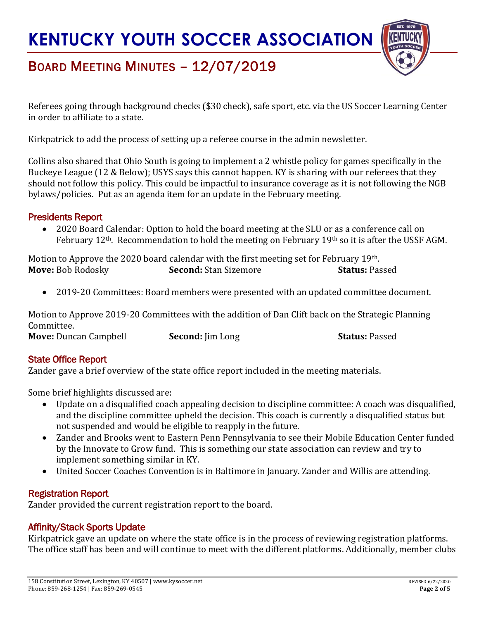

## BOARD MEETING MINUTES – 12/07/2019

Referees going through background checks (\$30 check), safe sport, etc. via the US Soccer Learning Center in order to affiliate to a state.

Kirkpatrick to add the process of setting up a referee course in the admin newsletter.

Collins also shared that Ohio South is going to implement a 2 whistle policy for games specifically in the Buckeye League (12 & Below); USYS says this cannot happen. KY is sharing with our referees that they should not follow this policy. This could be impactful to insurance coverage as it is not following the NGB bylaws/policies. Put as an agenda item for an update in the February meeting.

### Presidents Report

• 2020 Board Calendar: Option to hold the board meeting at the SLU or as a conference call on February 12<sup>th</sup>. Recommendation to hold the meeting on February 19<sup>th</sup> so it is after the USSF AGM.

Motion to Approve the 2020 board calendar with the first meeting set for February 19<sup>th</sup>. **Move:** Bob Rodosky **Second:** Stan Sizemore **Status:** Passed

• 2019-20 Committees: Board members were presented with an updated committee document.

Motion to Approve 2019-20 Committees with the addition of Dan Clift back on the Strategic Planning Committee. **Move:** Duncan Campbell **Second:** Jim Long **Status:** Passed

### State Office Report

Zander gave a brief overview of the state office report included in the meeting materials.

Some brief highlights discussed are:

- Update on a disqualified coach appealing decision to discipline committee: A coach was disqualified, and the discipline committee upheld the decision. This coach is currently a disqualified status but not suspended and would be eligible to reapply in the future.
- Zander and Brooks went to Eastern Penn Pennsylvania to see their Mobile Education Center funded by the Innovate to Grow fund. This is something our state association can review and try to implement something similar in KY.
- United Soccer Coaches Convention is in Baltimore in January. Zander and Willis are attending.

### Registration Report

Zander provided the current registration report to the board.

### Affinity/Stack Sports Update

Kirkpatrick gave an update on where the state office is in the process of reviewing registration platforms. The office staff has been and will continue to meet with the different platforms. Additionally, member clubs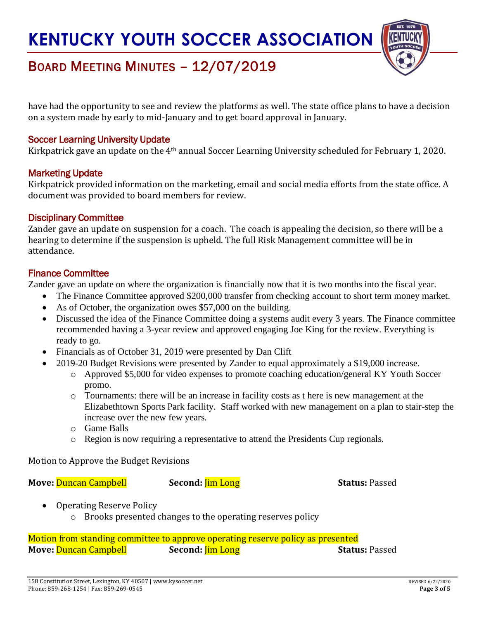

## BOARD MEETING MINUTES – 12/07/2019

have had the opportunity to see and review the platforms as well. The state office plans to have a decision on a system made by early to mid-January and to get board approval in January.

### Soccer Learning University Update

Kirkpatrick gave an update on the 4th annual Soccer Learning University scheduled for February 1, 2020.

### Marketing Update

Kirkpatrick provided information on the marketing, email and social media efforts from the state office. A document was provided to board members for review.

### Disciplinary Committee

Zander gave an update on suspension for a coach. The coach is appealing the decision, so there will be a hearing to determine if the suspension is upheld. The full Risk Management committee will be in attendance.

### Finance Committee

Zander gave an update on where the organization is financially now that it is two months into the fiscal year.

- The Finance Committee approved \$200,000 transfer from checking account to short term money market.
- As of October, the organization owes \$57,000 on the building.
- Discussed the idea of the Finance Committee doing a systems audit every 3 years. The Finance committee recommended having a 3-year review and approved engaging Joe King for the review. Everything is ready to go.
- Financials as of October 31, 2019 were presented by Dan Clift
- 2019-20 Budget Revisions were presented by Zander to equal approximately a \$19,000 increase.
	- o Approved \$5,000 for video expenses to promote coaching education/general KY Youth Soccer promo.
	- o Tournaments: there will be an increase in facility costs as t here is new management at the Elizabethtown Sports Park facility. Staff worked with new management on a plan to stair-step the increase over the new few years.
	- o Game Balls
	- o Region is now requiring a representative to attend the Presidents Cup regionals.

Motion to Approve the Budget Revisions

**Move:** Duncan Campbell **Second:** *Jim Long* **Status:** Passed

- Operating Reserve Policy
	- o Brooks presented changes to the operating reserves policy

Motion from standing committee to approve operating reserve policy as presented **Move:** Duncan Campbell **Second:** *Jim Long* **Status:** Passed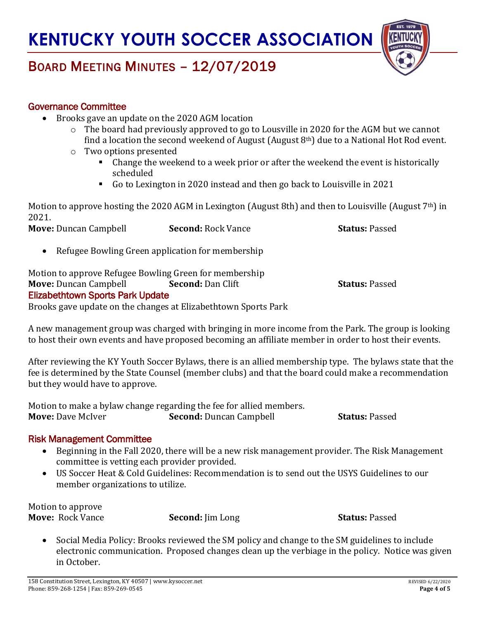

## BOARD MEETING MINUTES – 12/07/2019

### Governance Committee

- Brooks gave an update on the 2020 AGM location
	- o The board had previously approved to go to Lousville in 2020 for the AGM but we cannot find a location the second weekend of August (August  $8<sup>th</sup>$ ) due to a National Hot Rod event.
	- o Two options presented
		- Change the weekend to a week prior or after the weekend the event is historically scheduled
		- Go to Lexington in 2020 instead and then go back to Louisville in 2021

Motion to approve hosting the 2020 AGM in Lexington (August 8th) and then to Louisville (August  $7<sup>th</sup>$ ) in 2021.

**Move:** Duncan Campbell **Second:** Rock Vance **Status:** Passed

• Refugee Bowling Green application for membership

Motion to approve Refugee Bowling Green for membership **Move:** Duncan Campbell **Second:** Dan Clift **Status:** Passed Elizabethtown Sports Park Update

Brooks gave update on the changes at Elizabethtown Sports Park

A new management group was charged with bringing in more income from the Park. The group is looking to host their own events and have proposed becoming an affiliate member in order to host their events.

After reviewing the KY Youth Soccer Bylaws, there is an allied membership type. The bylaws state that the fee is determined by the State Counsel (member clubs) and that the board could make a recommendation but they would have to approve.

Motion to make a bylaw change regarding the fee for allied members. **Move:** Dave McIver **Second:** Duncan Campbell **Status:** Passed

### Risk Management Committee

- Beginning in the Fall 2020, there will be a new risk management provider. The Risk Management committee is vetting each provider provided.
- US Soccer Heat & Cold Guidelines: Recommendation is to send out the USYS Guidelines to our member organizations to utilize.

Motion to approve **Move:** Rock Vance **Second:** Jim Long **Status:** Passed

• Social Media Policy: Brooks reviewed the SM policy and change to the SM guidelines to include electronic communication. Proposed changes clean up the verbiage in the policy. Notice was given in October.